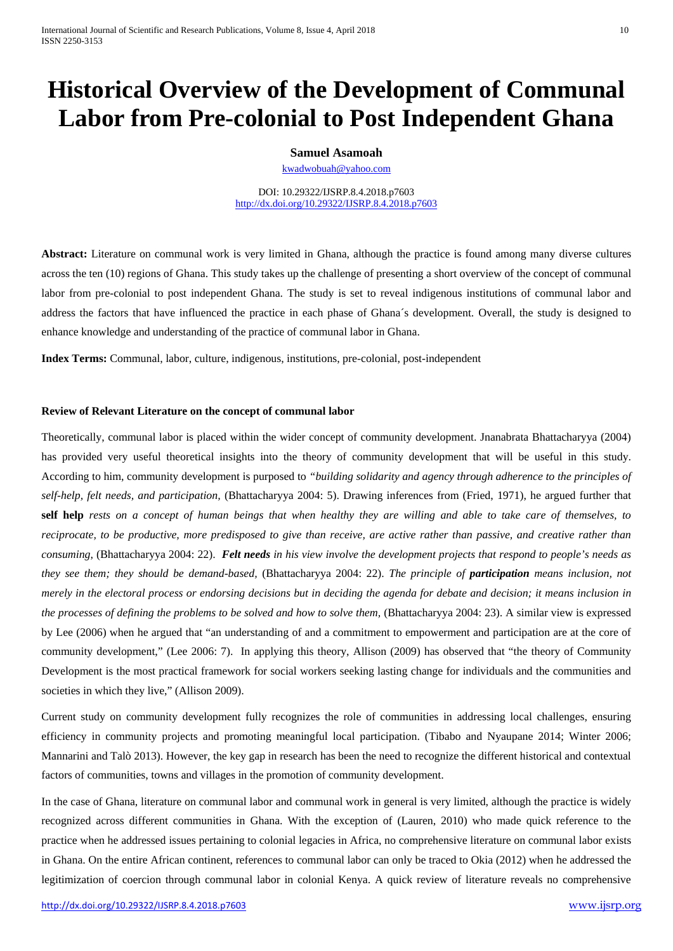# **Historical Overview of the Development of Communal Labor from Pre-colonial to Post Independent Ghana**

## **Samuel Asamoah**

[kwadwobuah@yahoo.com](mailto:kwadwobuah@yahoo.com)

DOI: 10.29322/IJSRP.8.4.2018.p7603 <http://dx.doi.org/10.29322/IJSRP.8.4.2018.p7603>

**Abstract:** Literature on communal work is very limited in Ghana, although the practice is found among many diverse cultures across the ten (10) regions of Ghana. This study takes up the challenge of presenting a short overview of the concept of communal labor from pre-colonial to post independent Ghana. The study is set to reveal indigenous institutions of communal labor and address the factors that have influenced the practice in each phase of Ghana´s development. Overall, the study is designed to enhance knowledge and understanding of the practice of communal labor in Ghana.

**Index Terms:** Communal, labor, culture, indigenous, institutions, pre-colonial, post-independent

### **Review of Relevant Literature on the concept of communal labor**

Theoretically, communal labor is placed within the wider concept of community development. Jnanabrata Bhattacharyya (2004) has provided very useful theoretical insights into the theory of community development that will be useful in this study. According to him, community development is purposed to *"building solidarity and agency through adherence to the principles of self-help, felt needs, and participation,* (Bhattacharyya 2004: 5). Drawing inferences from (Fried, 1971), he argued further that **self help** *rests on a concept of human beings that when healthy they are willing and able to take care of themselves, to reciprocate, to be productive, more predisposed to give than receive, are active rather than passive, and creative rather than consuming*, (Bhattacharyya 2004: 22). *Felt needs in his view involve the development projects that respond to people's needs as they see them; they should be demand-based,* (Bhattacharyya 2004: 22). *The principle of participation means inclusion, not merely in the electoral process or endorsing decisions but in deciding the agenda for debate and decision; it means inclusion in the processes of defining the problems to be solved and how to solve them,* (Bhattacharyya 2004: 23). A similar view is expressed by Lee (2006) when he argued that "an understanding of and a commitment to empowerment and participation are at the core of community development," (Lee 2006: 7). In applying this theory, Allison (2009) has observed that "the theory of Community Development is the most practical framework for social workers seeking lasting change for individuals and the communities and societies in which they live," (Allison 2009).

Current study on community development fully recognizes the role of communities in addressing local challenges, ensuring efficiency in community projects and promoting meaningful local participation. (Tibabo and Nyaupane 2014; Winter 2006; Mannarini and Talò 2013). However, the key gap in research has been the need to recognize the different historical and contextual factors of communities, towns and villages in the promotion of community development.

<span id="page-0-0"></span>In the case of Ghana, literature on communal labor and communal work in general is very limited, although the practice is widely recognized across different communities in Ghana. With the exception of (Lauren, 2010) who made quick reference to the practice when he addressed issues pertaining to colonial legacies in Africa, no comprehensive literature on communal labor exists in Ghana. On the entire African continent, references to communal labor can only be traced to Okia (2012) when he addressed the legitimization of coercion through communal labor in colonial Kenya. A quick review of literature reveals no comprehensive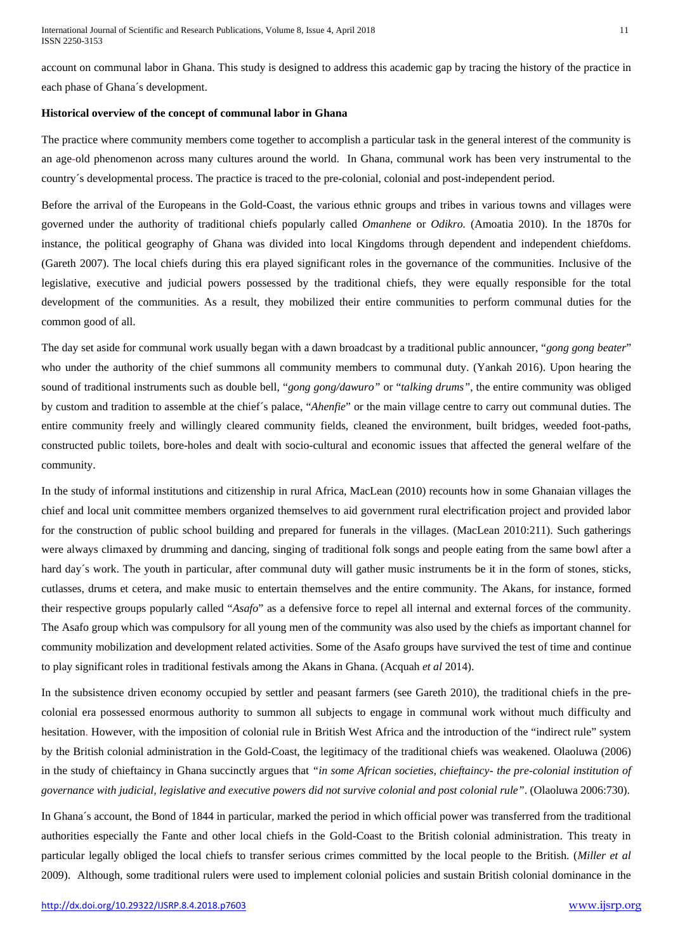account on communal labor in Ghana. This study is designed to address this academic gap by tracing the history of the practice in each phase of Ghana´s development.

#### **Historical overview of the concept of communal labor in Ghana**

The practice where community members come together to accomplish a particular task in the general interest of the community is an age-old phenomenon across many cultures around the world. In Ghana, communal work has been very instrumental to the country´s developmental process. The practice is traced to the pre-colonial, colonial and post-independent period.

Before the arrival of the Europeans in the Gold-Coast, the various ethnic groups and tribes in various towns and villages were governed under the authority of traditional chiefs popularly called *Omanhene* or *Odikro.* (Amoatia 2010). In the 1870s for instance, the political geography of Ghana was divided into local Kingdoms through dependent and independent chiefdoms. (Gareth 2007). The local chiefs during this era played significant roles in the governance of the communities. Inclusive of the legislative, executive and judicial powers possessed by the traditional chiefs, they were equally responsible for the total development of the communities. As a result, they mobilized their entire communities to perform communal duties for the common good of all.

The day set aside for communal work usually began with a dawn broadcast by a traditional public announcer, "*gong gong beater*" who under the authority of the chief summons all community members to communal duty. (Yankah 2016). Upon hearing the sound of traditional instruments such as double bell, "*gong gong/dawuro"* or "*talking drums"*, the entire community was obliged by custom and tradition to assemble at the chief´s palace, "*Ahenfie*" or the main village centre to carry out communal duties. The entire community freely and willingly cleared community fields, cleaned the environment, built bridges, weeded foot-paths, constructed public toilets, bore-holes and dealt with socio-cultural and economic issues that affected the general welfare of the community.

In the study of informal institutions and citizenship in rural Africa, MacLean (2010) recounts how in some Ghanaian villages the chief and local unit committee members organized themselves to aid government rural electrification project and provided labor for the construction of public school building and prepared for funerals in the villages. (MacLean 2010:211). Such gatherings were always climaxed by drumming and dancing, singing of traditional folk songs and people eating from the same bowl after a hard day´s work. The youth in particular, after communal duty will gather music instruments be it in the form of stones, sticks, cutlasses, drums et cetera, and make music to entertain themselves and the entire community. The Akans, for instance, formed their respective groups popularly called "*Asafo*" as a defensive force to repel all internal and external forces of the community. The Asafo group which was compulsory for all young men of the community was also used by the chiefs as important channel for community mobilization and development related activities. Some of the Asafo groups have survived the test of time and continue to play significant roles in traditional festivals among the Akans in Ghana. (Acquah *et al* 2014).

In the subsistence driven economy occupied by settler and peasant farmers (see Gareth 2010), the traditional chiefs in the precolonial era possessed enormous authority to summon all subjects to engage in communal work without much difficulty and hesitation. However, with the imposition of colonial rule in British West Africa and the introduction of the "indirect rule" system by the British colonial administration in the Gold-Coast, the legitimacy of the traditional chiefs was weakened. Olaoluwa (2006) in the study of chieftaincy in Ghana succinctly argues that *"in some African societies, chieftaincy- the pre-colonial institution of governance with judicial, legislative and executive powers did not survive colonial and post colonial rule"*. (Olaoluwa 2006:730).

In Ghana´s account, the Bond of 1844 in particular, marked the period in which official power was transferred from the traditional authorities especially the Fante and other local chiefs in the Gold-Coast to the British colonial administration. This treaty in particular legally obliged the local chiefs to transfer serious crimes committed by the local people to the British. (*Miller et al* 2009). Although, some traditional rulers were used to implement colonial policies and sustain British colonial dominance in the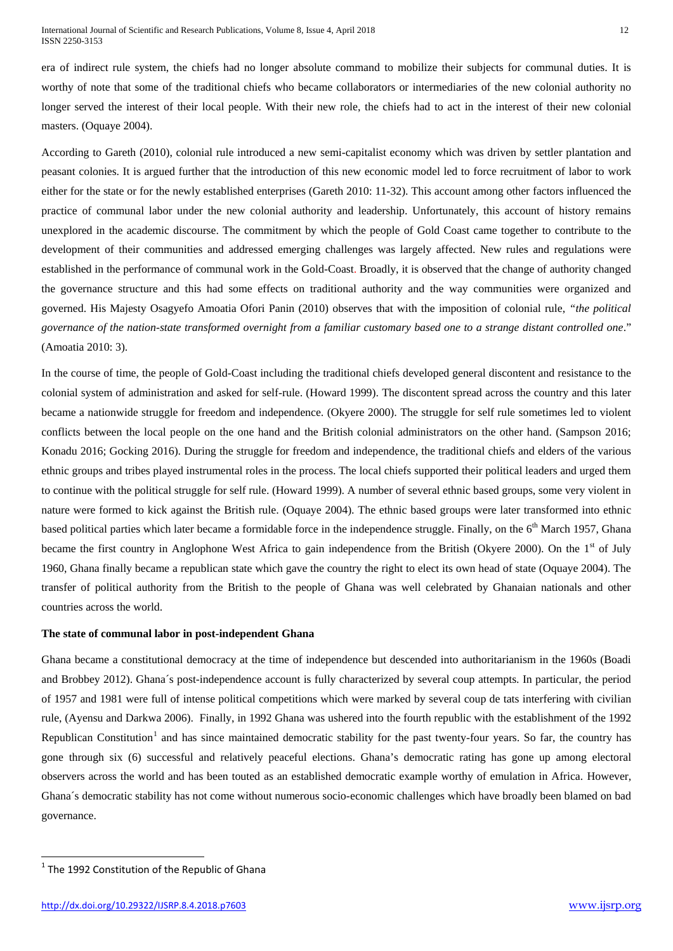era of indirect rule system, the chiefs had no longer absolute command to mobilize their subjects for communal duties. It is worthy of note that some of the traditional chiefs who became collaborators or intermediaries of the new colonial authority no longer served the interest of their local people. With their new role, the chiefs had to act in the interest of their new colonial masters. (Oquaye 2004).

According to Gareth (2010), colonial rule introduced a new semi-capitalist economy which was driven by settler plantation and peasant colonies. It is argued further that the introduction of this new economic model led to force recruitment of labor to work either for the state or for the newly established enterprises (Gareth 2010: 11-32). This account among other factors influenced the practice of communal labor under the new colonial authority and leadership. Unfortunately, this account of history remains unexplored in the academic discourse. The commitment by which the people of Gold Coast came together to contribute to the development of their communities and addressed emerging challenges was largely affected. New rules and regulations were established in the performance of communal work in the Gold-Coast. Broadly, it is observed that the change of authority changed the governance structure and this had some effects on traditional authority and the way communities were organized and governed. His Majesty Osagyefo Amoatia Ofori Panin (2010) observes that with the imposition of colonial rule, *"the political governance of the nation-state transformed overnight from a familiar customary based one to a strange distant controlled one*." (Amoatia 2010: 3).

In the course of time, the people of Gold-Coast including the traditional chiefs developed general discontent and resistance to the colonial system of administration and asked for self-rule. (Howard 1999). The discontent spread across the country and this later became a nationwide struggle for freedom and independence. (Okyere 2000). The struggle for self rule sometimes led to violent conflicts between the local people on the one hand and the British colonial administrators on the other hand. (Sampson 2016; Konadu 2016; Gocking 2016). During the struggle for freedom and independence, the traditional chiefs and elders of the various ethnic groups and tribes played instrumental roles in the process. The local chiefs supported their political leaders and urged them to continue with the political struggle for self rule. (Howard 1999). A number of several ethnic based groups, some very violent in nature were formed to kick against the British rule. (Oquaye 2004). The ethnic based groups were later transformed into ethnic based political parties which later became a formidable force in the independence struggle. Finally, on the 6<sup>th</sup> March 1957, Ghana became the first country in Anglophone West Africa to gain independence from the British (Okyere 2000). On the 1<sup>st</sup> of July 1960, Ghana finally became a republican state which gave the country the right to elect its own head of state (Oquaye 2004). The transfer of political authority from the British to the people of Ghana was well celebrated by Ghanaian nationals and other countries across the world.

#### **The state of communal labor in post-independent Ghana**

Ghana became a constitutional democracy at the time of independence but descended into authoritarianism in the 1960s (Boadi and Brobbey 2012). Ghana´s post-independence account is fully characterized by several coup attempts. In particular, the period of 1957 and 1981 were full of intense political competitions which were marked by several coup de tats interfering with civilian rule, (Ayensu and Darkwa 2006). Finally, in 1992 Ghana was ushered into the fourth republic with the establishment of the 1992 Republican Constitution<sup>[1](#page-0-0)</sup> and has since maintained democratic stability for the past twenty-four years. So far, the country has gone through six (6) successful and relatively peaceful elections. Ghana's democratic rating has gone up among electoral observers across the world and has been touted as an established democratic example worthy of emulation in Africa. However, Ghana´s democratic stability has not come without numerous socio-economic challenges which have broadly been blamed on bad governance.

<span id="page-2-0"></span> $1$ <sup>1</sup> The 1992 Constitution of the Republic of Ghana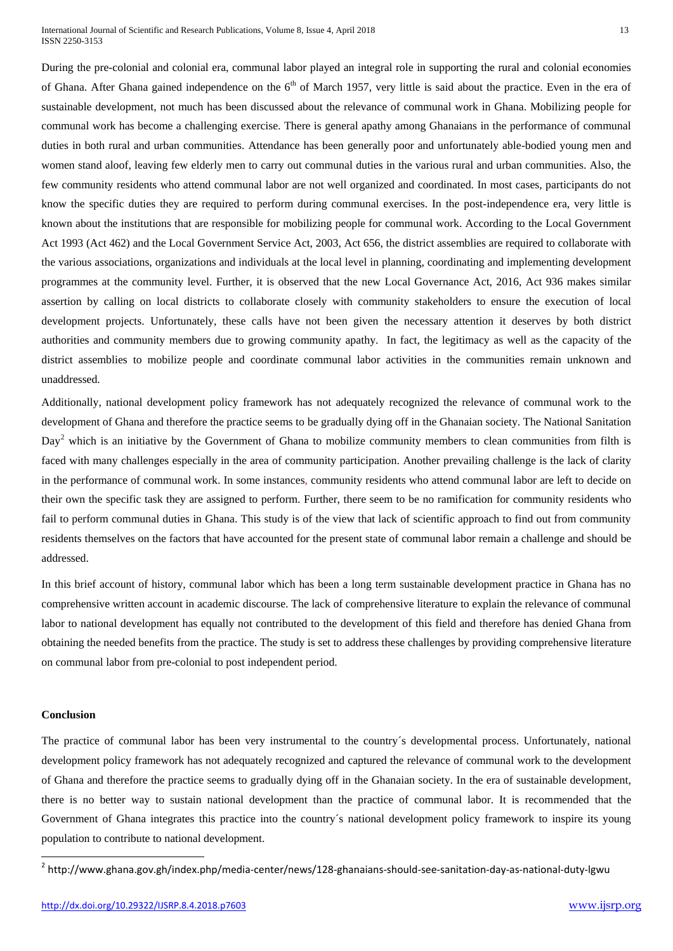International Journal of Scientific and Research Publications, Volume 8, Issue 4, April 2018 13 ISSN 2250-3153

During the pre-colonial and colonial era, communal labor played an integral role in supporting the rural and colonial economies of Ghana. After Ghana gained independence on the  $6<sup>th</sup>$  of March 1957, very little is said about the practice. Even in the era of sustainable development, not much has been discussed about the relevance of communal work in Ghana. Mobilizing people for communal work has become a challenging exercise. There is general apathy among Ghanaians in the performance of communal duties in both rural and urban communities. Attendance has been generally poor and unfortunately able-bodied young men and women stand aloof, leaving few elderly men to carry out communal duties in the various rural and urban communities. Also, the few community residents who attend communal labor are not well organized and coordinated. In most cases, participants do not know the specific duties they are required to perform during communal exercises. In the post-independence era, very little is known about the institutions that are responsible for mobilizing people for communal work. According to the Local Government Act 1993 (Act 462) and the Local Government Service Act, 2003, Act 656, the district assemblies are required to collaborate with the various associations, organizations and individuals at the local level in planning, coordinating and implementing development programmes at the community level. Further, it is observed that the new Local Governance Act, 2016, Act 936 makes similar assertion by calling on local districts to collaborate closely with community stakeholders to ensure the execution of local development projects. Unfortunately, these calls have not been given the necessary attention it deserves by both district authorities and community members due to growing community apathy. In fact, the legitimacy as well as the capacity of the district assemblies to mobilize people and coordinate communal labor activities in the communities remain unknown and unaddressed.

Additionally, national development policy framework has not adequately recognized the relevance of communal work to the development of Ghana and therefore the practice seems to be gradually dying off in the Ghanaian society. The National Sanitation  $Day<sup>2</sup>$  $Day<sup>2</sup>$  $Day<sup>2</sup>$  which is an initiative by the Government of Ghana to mobilize community members to clean communities from filth is faced with many challenges especially in the area of community participation. Another prevailing challenge is the lack of clarity in the performance of communal work. In some instances, community residents who attend communal labor are left to decide on their own the specific task they are assigned to perform. Further, there seem to be no ramification for community residents who fail to perform communal duties in Ghana. This study is of the view that lack of scientific approach to find out from community residents themselves on the factors that have accounted for the present state of communal labor remain a challenge and should be addressed.

In this brief account of history, communal labor which has been a long term sustainable development practice in Ghana has no comprehensive written account in academic discourse. The lack of comprehensive literature to explain the relevance of communal labor to national development has equally not contributed to the development of this field and therefore has denied Ghana from obtaining the needed benefits from the practice. The study is set to address these challenges by providing comprehensive literature on communal labor from pre-colonial to post independent period.

#### **Conclusion**

The practice of communal labor has been very instrumental to the country´s developmental process. Unfortunately, national development policy framework has not adequately recognized and captured the relevance of communal work to the development of Ghana and therefore the practice seems to gradually dying off in the Ghanaian society. In the era of sustainable development, there is no better way to sustain national development than the practice of communal labor. It is recommended that the Government of Ghana integrates this practice into the country´s national development policy framework to inspire its young population to contribute to national development.

<sup>&</sup>lt;sup>2</sup> http://www.ghana.gov.gh/index.php/media-center/news/128-ghanaians-should-see-sanitation-day-as-national-duty-lgwu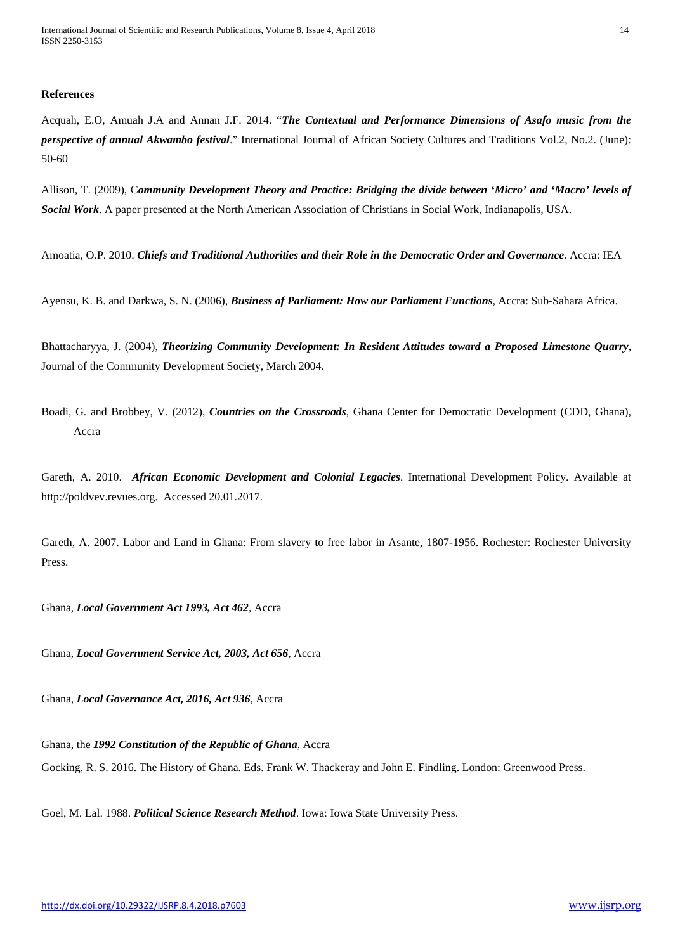#### **References**

Acquah, E.O, Amuah J.A and Annan J.F. 2014. "*The Contextual and Performance Dimensions of Asafo music from the perspective of annual Akwambo festival*." International Journal of African Society Cultures and Traditions Vol.2, No.2. (June): 50-60

Allison, T. (2009), C*ommunity Development Theory and Practice: Bridging the divide between 'Micro' and 'Macro' levels of Social Work*. A paper presented at the North American Association of Christians in Social Work, Indianapolis, USA.

Amoatia, O.P. 2010. *Chiefs and Traditional Authorities and their Role in the Democratic Order and Governance*. Accra: IEA

Ayensu, K. B. and Darkwa, S. N. (2006), *Business of Parliament: How our Parliament Functions*, Accra: Sub-Sahara Africa.

Bhattacharyya, J. (2004), *Theorizing Community Development: In Resident Attitudes toward a Proposed Limestone Quarry*, Journal of the Community Development Society, March 2004.

Boadi, G. and Brobbey, V. (2012), *Countries on the Crossroads*, Ghana Center for Democratic Development (CDD, Ghana), Accra

Gareth, A. 2010. *African Economic Development and Colonial Legacies*. International Development Policy. Available at http://poldvev.revues.org. Accessed 20.01.2017.

Gareth, A. 2007. Labor and Land in Ghana: From slavery to free labor in Asante, 1807-1956. Rochester: Rochester University Press.

Ghana, *Local Government Act 1993, Act 462*, Accra

Ghana, *Local Government Service Act, 2003, Act 656*, Accra

Ghana, *Local Governance Act, 2016, Act 936*, Accra

Ghana, the *1992 Constitution of the Republic of Ghana*, Accra

Gocking, R. S. 2016. The History of Ghana. Eds. Frank W. Thackeray and John E. Findling. London: Greenwood Press.

Goel, M. Lal. 1988. *Political Science Research Method*. Iowa: Iowa State University Press.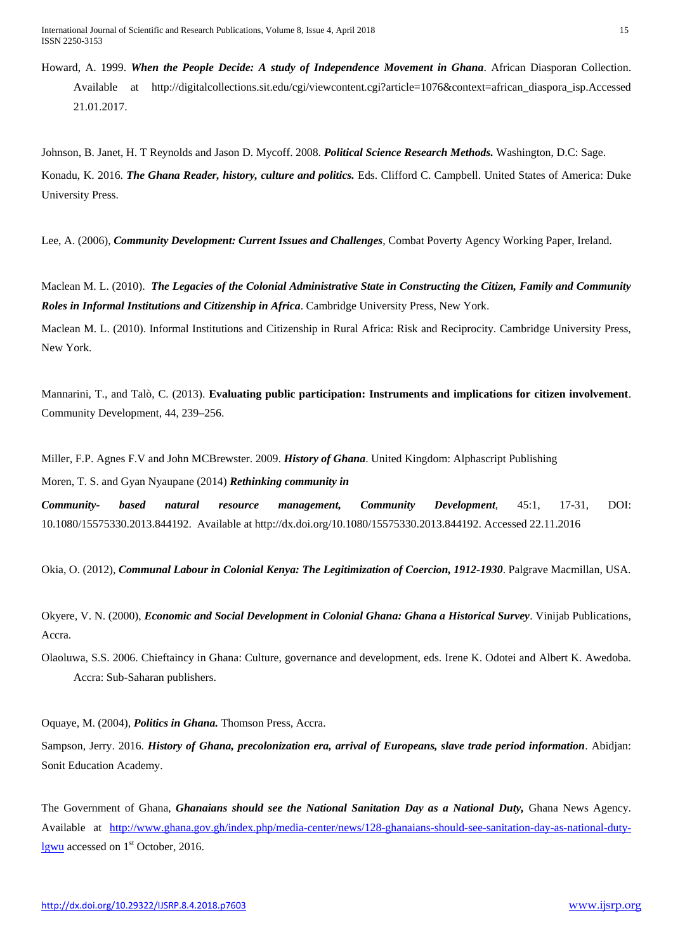International Journal of Scientific and Research Publications, Volume 8, Issue 4, April 2018 15 ISSN 2250-3153

Howard, A. 1999. *When the People Decide: A study of Independence Movement in Ghana*. African Diasporan Collection. Available at http://digitalcollections.sit.edu/cgi/viewcontent.cgi?article=1076&context=african\_diaspora\_isp.Accessed 21.01.2017.

Johnson, B. Janet, H. T Reynolds and Jason D. Mycoff. 2008. *Political Science Research Methods.* Washington, D.C: Sage. Konadu, K. 2016. *The Ghana Reader, history, culture and politics.* Eds. Clifford C. Campbell. United States of America: Duke University Press.

Lee, A. (2006), *Community Development: Current Issues and Challenges*, Combat Poverty Agency Working Paper, Ireland.

Maclean M. L. (2010). *The Legacies of the Colonial Administrative State in Constructing the Citizen, Family and Community Roles in Informal Institutions and Citizenship in Africa*. Cambridge University Press, New York.

Maclean M. L. (2010). Informal Institutions and Citizenship in Rural Africa: Risk and Reciprocity. Cambridge University Press, New York.

Mannarini, T., and Talò, C. (2013). **Evaluating public participation: Instruments and implications for citizen involvement**. Community Development, 44, 239–256.

Miller, F.P. Agnes F.V and John MCBrewster. 2009. *History of Ghana*. United Kingdom: Alphascript Publishing Moren, T. S. and Gyan Nyaupane (2014) *Rethinking community in*

*Community- based natural resource management, Community Development*, 45:1, 17-31, DOI: 10.1080/15575330.2013.844192. Available at http://dx.doi.org/10.1080/15575330.2013.844192. Accessed 22.11.2016

Okia, O. (2012), *Communal Labour in Colonial Kenya: The Legitimization of Coercion, 1912-1930*. Palgrave Macmillan, USA.

Okyere, V. N. (2000), *Economic and Social Development in Colonial Ghana: Ghana a Historical Survey*. Vinijab Publications, Accra.

Olaoluwa, S.S. 2006. Chieftaincy in Ghana: Culture, governance and development, eds. Irene K. Odotei and Albert K. Awedoba. Accra: Sub-Saharan publishers.

Oquaye, M. (2004), *Politics in Ghana.* Thomson Press, Accra.

Sampson, Jerry. 2016. *History of Ghana, precolonization era, arrival of Europeans, slave trade period information*. Abidjan: Sonit Education Academy.

The Government of Ghana, *Ghanaians should see the National Sanitation Day as a National Duty,* Ghana News Agency. Available at [http://www.ghana.gov.gh/index.php/media-center/news/128-ghanaians-should-see-sanitation-day-as-national-duty](http://www.ghana.gov.gh/index.php/media-center/news/128-ghanaians-should-see-sanitation-day-as-national-duty-lgwu)[lgwu](http://www.ghana.gov.gh/index.php/media-center/news/128-ghanaians-should-see-sanitation-day-as-national-duty-lgwu) accessed on 1<sup>st</sup> October, 2016.